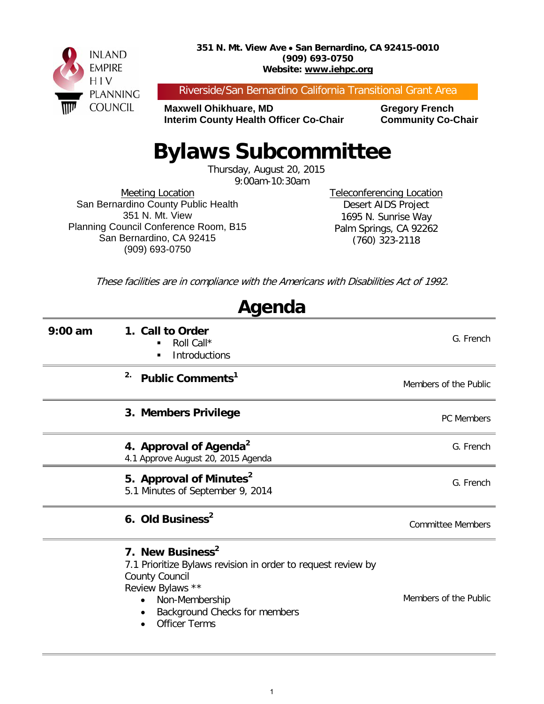

Riverside/San Bernardino California Transitional Grant Area

**Maxwell Ohikhuare, MD Gregory French Interim County Health Officer Co-Chair Community Co-Chair** 

## **Bylaws Subcommittee**

Thursday, August 20, 2015 9:00am-10:30am

Meeting Location San Bernardino County Public Health 351 N. Mt. View Planning Council Conference Room, B15 San Bernardino, CA 92415 (909) 693-0750

Teleconferencing Location Desert AIDS Project 1695 N. Sunrise Way Palm Springs, CA 92262 (760) 323-2118

These facilities are in compliance with the Americans with Disabilities Act of 1992.

| Agenda    |                                                                                                                                                                                                                      |                          |  |  |
|-----------|----------------------------------------------------------------------------------------------------------------------------------------------------------------------------------------------------------------------|--------------------------|--|--|
| $9:00$ am | 1. Call to Order<br>Roll Call*<br>■<br>Introductions<br>$\blacksquare$                                                                                                                                               | G. French                |  |  |
|           | 2.<br>Public Comments <sup>1</sup>                                                                                                                                                                                   | Members of the Public    |  |  |
|           | 3. Members Privilege                                                                                                                                                                                                 | <b>PC Members</b>        |  |  |
|           | 4. Approval of Agenda <sup>2</sup><br>4.1 Approve August 20, 2015 Agenda                                                                                                                                             | G. French                |  |  |
|           | 5. Approval of Minutes <sup>2</sup><br>5.1 Minutes of September 9, 2014                                                                                                                                              | G. French                |  |  |
|           | 6. Old Business <sup>2</sup>                                                                                                                                                                                         | <b>Committee Members</b> |  |  |
|           | 7. New Business <sup>2</sup><br>7.1 Prioritize Bylaws revision in order to request review by<br><b>County Council</b><br>Review Bylaws **<br>Non-Membership<br>Background Checks for members<br><b>Officer Terms</b> | Members of the Public    |  |  |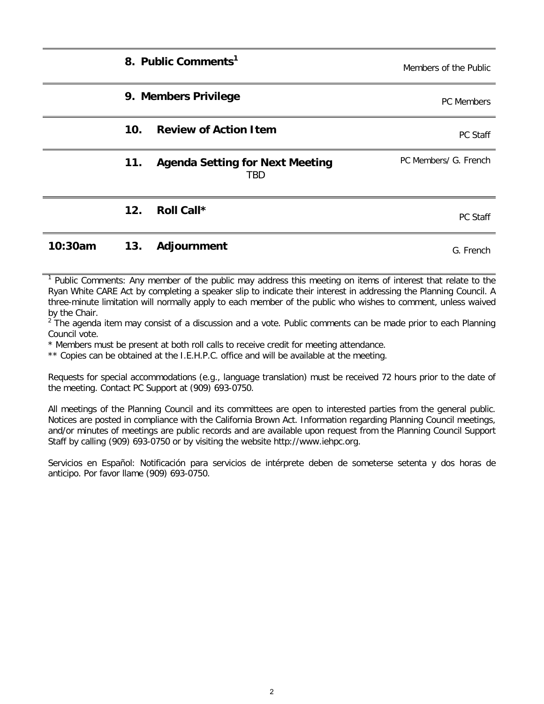|         |                 | 8. Public Comments <sup>1</sup>               | Members of the Public |
|---------|-----------------|-----------------------------------------------|-----------------------|
|         |                 | 9. Members Privilege                          | <b>PC</b> Members     |
|         | 10 <sub>1</sub> | <b>Review of Action Item</b>                  | PC Staff              |
|         | 11.             | <b>Agenda Setting for Next Meeting</b><br>TBD | PC Members/ G. French |
|         | 12.             | Roll Call*                                    | PC Staff              |
| 10:30am | 13.             | Adjournment                                   | G. French             |

<sup>1</sup> Public Comments: Any member of the public may address this meeting on items of interest that relate to the Ryan White CARE Act by completing a speaker slip to indicate their interest in addressing the Planning Council. A three-minute limitation will normally apply to each member of the public who wishes to comment, unless waived by the Chair.

 $2$  The agenda item may consist of a discussion and a vote. Public comments can be made prior to each Planning Council vote.

\* Members must be present at both roll calls to receive credit for meeting attendance.

\*\* Copies can be obtained at the I.E.H.P.C. office and will be available at the meeting.

Requests for special accommodations (e.g., language translation) must be received 72 hours prior to the date of the meeting. Contact PC Support at (909) 693-0750.

All meetings of the Planning Council and its committees are open to interested parties from the general public. Notices are posted in compliance with the California Brown Act. Information regarding Planning Council meetings, and/or minutes of meetings are public records and are available upon request from the Planning Council Support Staff by calling (909) 693-0750 or by visiting the website http://www.iehpc.org.

Servicios en Español: Notificación para servicios de intérprete deben de someterse setenta y dos horas de anticipo. Por favor llame (909) 693-0750.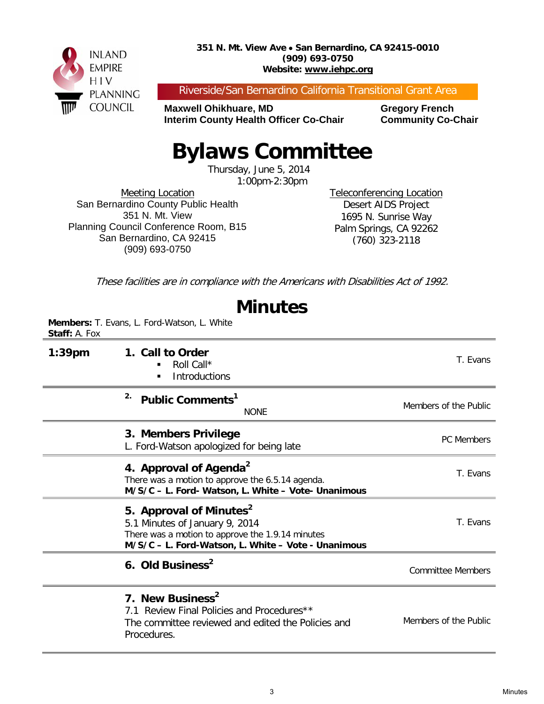

Riverside/San Bernardino California Transitional Grant Area

**Maxwell Ohikhuare, MD Gregory French Interim County Health Officer Co-Chair Community Co-Chair** 

## **Bylaws Committee**

Thursday, June 5, 2014 1:00pm-2:30pm

Meeting Location San Bernardino County Public Health 351 N. Mt. View Planning Council Conference Room, B15 San Bernardino, CA 92415 (909) 693-0750

Teleconferencing Location Desert AIDS Project 1695 N. Sunrise Way Palm Springs, CA 92262 (760) 323-2118

These facilities are in compliance with the Americans with Disabilities Act of 1992.

|               | <b>Minutes</b>                                                                                                                                                                   |                          |
|---------------|----------------------------------------------------------------------------------------------------------------------------------------------------------------------------------|--------------------------|
| Staff: A. Fox | Members: T. Evans, L. Ford-Watson, L. White                                                                                                                                      |                          |
| $1:39$ pm     | 1. Call to Order<br>Roll Call*<br><b>Introductions</b>                                                                                                                           | T. Evans                 |
|               | 2.<br>Public Comments <sup>1</sup><br><b>NONE</b>                                                                                                                                | Members of the Public    |
|               | 3. Members Privilege<br>L. Ford-Watson apologized for being late                                                                                                                 | <b>PC Members</b>        |
|               | 4. Approval of Agenda <sup>2</sup><br>There was a motion to approve the 6.5.14 agenda.<br>M/S/C - L. Ford- Watson, L. White - Vote- Unanimous                                    | T. Evans                 |
|               | 5. Approval of Minutes <sup>2</sup><br>5.1 Minutes of January 9, 2014<br>There was a motion to approve the 1.9.14 minutes<br>M/S/C - L. Ford-Watson, L. White - Vote - Unanimous | T. Evans                 |
|               | 6. Old Business <sup>2</sup>                                                                                                                                                     | <b>Committee Members</b> |
|               | 7. New Business <sup>2</sup><br>7.1 Review Final Policies and Procedures**<br>The committee reviewed and edited the Policies and<br>Procedures.                                  | Members of the Public    |